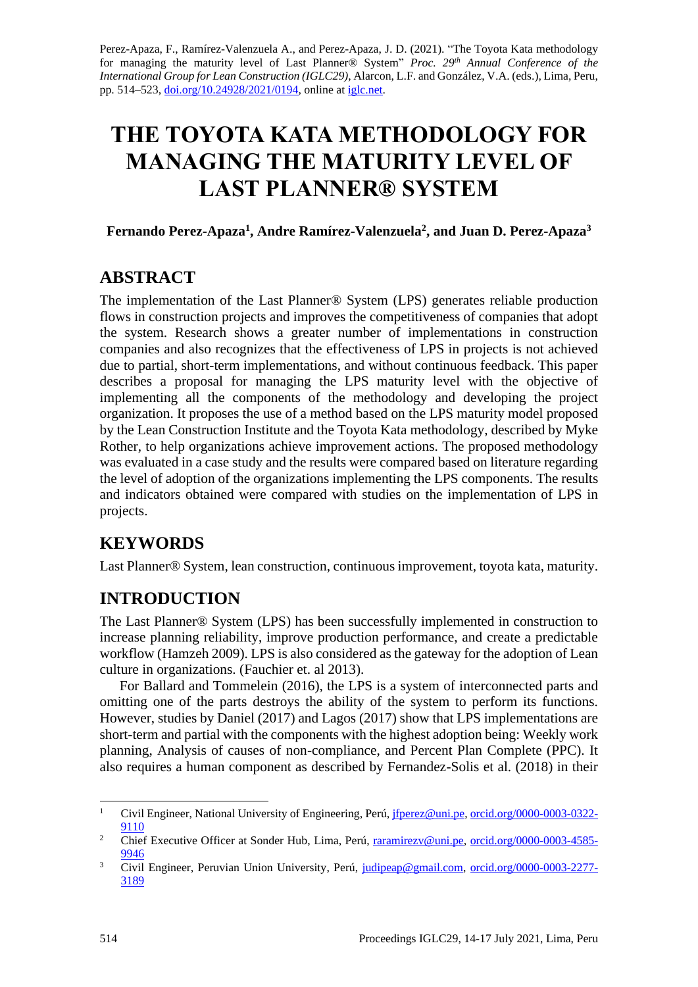[Perez-Apaza, F.,](file:///C:/Users/emape/AppData/Local/Temp/orcid.org/0000-0003-0322-9110) [Ramírez-Valenzuela A.,](file:///C:/Users/emape/AppData/Local/Temp/orcid.org/0000-0003-4585-9946) and [Perez-Apaza, J.](file:///C:/Users/emape/AppData/Local/Temp/orcid.org/0000-0003-2277-3189) D. (2021). "The Toyota Kata methodology for managing the maturity level of Last Planner® System" *Proc. 29 th Annual Conference of the International Group for Lean Construction (IGLC29),* Alarcon, L.F. and González, V.A. (eds.)*,* Lima, Peru, pp. 514–523, [doi.org/10.24928/2021/0194,](https://doi.org/10.24928/2021/0194) online a[t iglc.net.](http://iglc.net/)

# **THE TOYOTA KATA METHODOLOGY FOR MANAGING THE MATURITY LEVEL OF LAST PLANNER® SYSTEM**

### **Fernando Perez-Apaza<sup>1</sup> , Andre Ramírez-Valenzuela<sup>2</sup> , and Juan D. Perez-Apaza<sup>3</sup>**

## **ABSTRACT**

The implementation of the Last Planner® System (LPS) generates reliable production flows in construction projects and improves the competitiveness of companies that adopt the system. Research shows a greater number of implementations in construction companies and also recognizes that the effectiveness of LPS in projects is not achieved due to partial, short-term implementations, and without continuous feedback. This paper describes a proposal for managing the LPS maturity level with the objective of implementing all the components of the methodology and developing the project organization. It proposes the use of a method based on the LPS maturity model proposed by the Lean Construction Institute and the Toyota Kata methodology, described by Myke Rother, to help organizations achieve improvement actions. The proposed methodology was evaluated in a case study and the results were compared based on literature regarding the level of adoption of the organizations implementing the LPS components. The results and indicators obtained were compared with studies on the implementation of LPS in projects.

## **KEYWORDS**

Last Planner® System, lean construction, continuous improvement, toyota kata, maturity.

## **INTRODUCTION**

The Last Planner® System (LPS) has been successfully implemented in construction to increase planning reliability, improve production performance, and create a predictable workflow (Hamzeh 2009). LPS is also considered as the gateway for the adoption of Lean culture in organizations. (Fauchier et. al 2013).

For Ballard and Tommelein (2016), the LPS is a system of interconnected parts and omitting one of the parts destroys the ability of the system to perform its functions. However, studies by Daniel (2017) and Lagos (2017) show that LPS implementations are short-term and partial with the components with the highest adoption being: Weekly work planning, Analysis of causes of non-compliance, and Percent Plan Complete (PPC). It also requires a human component as described by Fernandez-Solis et al. (2018) in their

<sup>&</sup>lt;sup>1</sup> Civil Engineer, National University of Engineering, Perú[, jfperez@uni.pe,](mailto:jfperez@uni.pe) [orcid.org/0000-0003-0322-](http://www.orcid.org/0000-0003-0322-9110) [9110](http://www.orcid.org/0000-0003-0322-9110)

<sup>&</sup>lt;sup>2</sup> Chief Executive Officer at Sonder Hub, Lima, Perú, [raramirezv@uni.pe,](mailto:raramirezv@uni.pe) [orcid.org/0000-0003-4585-](https://orcid.org/0000-0003-4585-9946) [9946](https://orcid.org/0000-0003-4585-9946)

<sup>3</sup> Civil Engineer, Peruvian Union University, Perú, [judipeap@gmail.com,](mailto:judipeap@gmail.com) [orcid.org/0000-0003-2277-](http://www.orcid.org/0000-0003-2277-3189) [3189](http://www.orcid.org/0000-0003-2277-3189)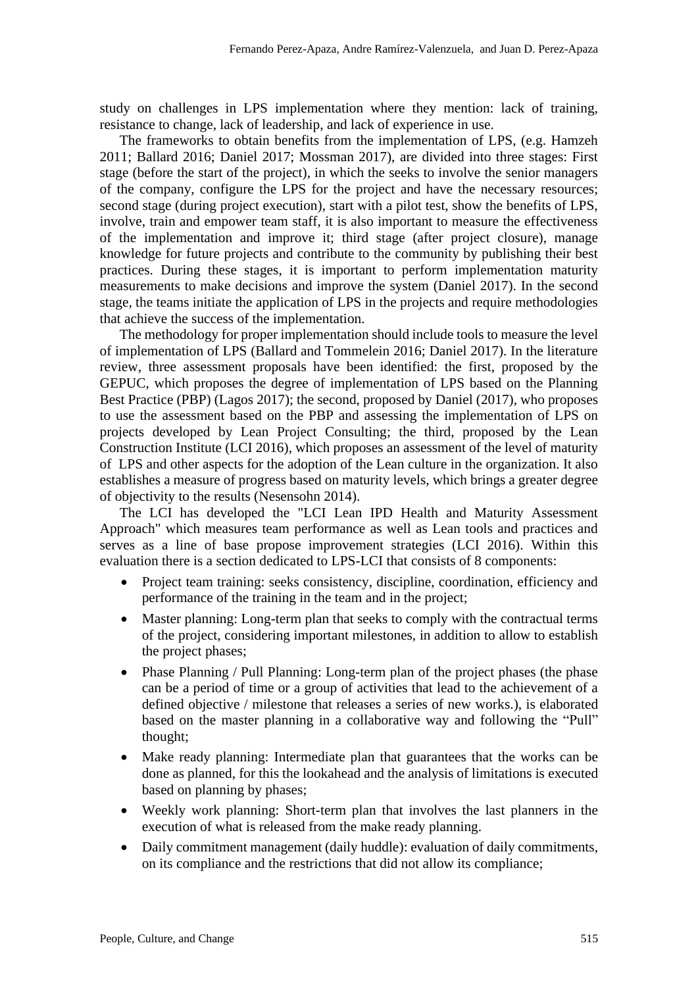study on challenges in LPS implementation where they mention: lack of training, resistance to change, lack of leadership, and lack of experience in use.

The frameworks to obtain benefits from the implementation of LPS, (e.g. Hamzeh 2011; Ballard 2016; Daniel 2017; Mossman 2017), are divided into three stages: First stage (before the start of the project), in which the seeks to involve the senior managers of the company, configure the LPS for the project and have the necessary resources; second stage (during project execution), start with a pilot test, show the benefits of LPS, involve, train and empower team staff, it is also important to measure the effectiveness of the implementation and improve it; third stage (after project closure), manage knowledge for future projects and contribute to the community by publishing their best practices. During these stages, it is important to perform implementation maturity measurements to make decisions and improve the system (Daniel 2017). In the second stage, the teams initiate the application of LPS in the projects and require methodologies that achieve the success of the implementation.

The methodology for proper implementation should include tools to measure the level of implementation of LPS (Ballard and Tommelein 2016; Daniel 2017). In the literature review, three assessment proposals have been identified: the first, proposed by the GEPUC, which proposes the degree of implementation of LPS based on the Planning Best Practice (PBP) (Lagos 2017); the second, proposed by Daniel (2017), who proposes to use the assessment based on the PBP and assessing the implementation of LPS on projects developed by Lean Project Consulting; the third, proposed by the Lean Construction Institute (LCI 2016), which proposes an assessment of the level of maturity of LPS and other aspects for the adoption of the Lean culture in the organization. It also establishes a measure of progress based on maturity levels, which brings a greater degree of objectivity to the results (Nesensohn 2014).

The LCI has developed the "LCI Lean IPD Health and Maturity Assessment Approach" which measures team performance as well as Lean tools and practices and serves as a line of base propose improvement strategies (LCI 2016). Within this evaluation there is a section dedicated to LPS-LCI that consists of 8 components:

- Project team training: seeks consistency, discipline, coordination, efficiency and performance of the training in the team and in the project;
- Master planning: Long-term plan that seeks to comply with the contractual terms of the project, considering important milestones, in addition to allow to establish the project phases;
- Phase Planning / Pull Planning: Long-term plan of the project phases (the phase can be a period of time or a group of activities that lead to the achievement of a defined objective / milestone that releases a series of new works.), is elaborated based on the master planning in a collaborative way and following the "Pull" thought;
- Make ready planning: Intermediate plan that guarantees that the works can be done as planned, for this the lookahead and the analysis of limitations is executed based on planning by phases;
- Weekly work planning: Short-term plan that involves the last planners in the execution of what is released from the make ready planning.
- Daily commitment management (daily huddle): evaluation of daily commitments, on its compliance and the restrictions that did not allow its compliance;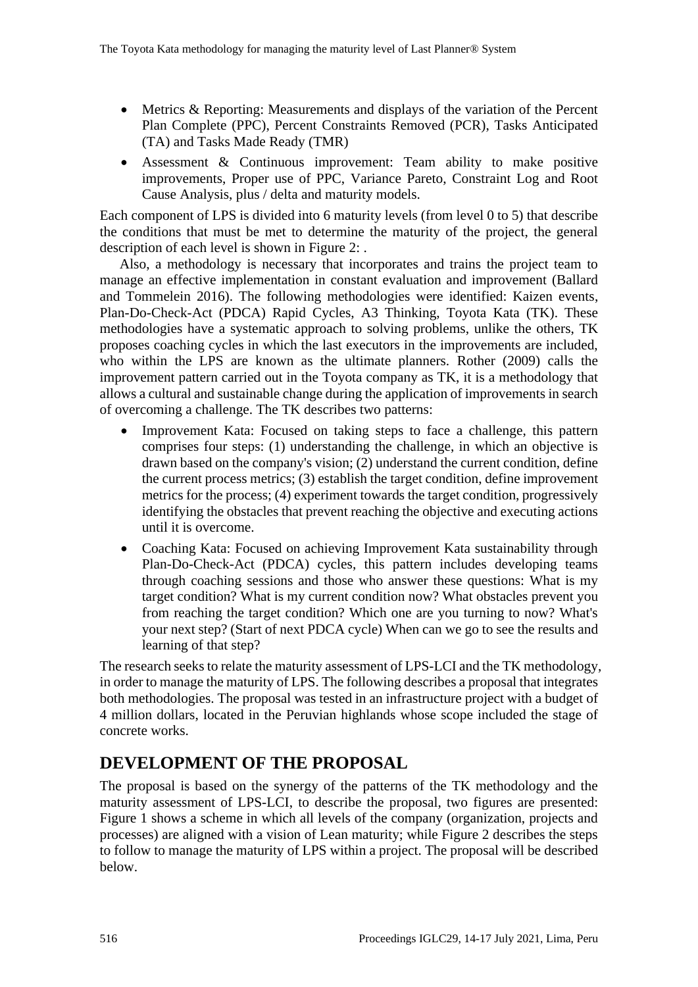- Metrics & Reporting: Measurements and displays of the variation of the Percent Plan Complete (PPC), Percent Constraints Removed (PCR), Tasks Anticipated (TA) and Tasks Made Ready (TMR)
- Assessment & Continuous improvement: Team ability to make positive improvements, Proper use of PPC, Variance Pareto, Constraint Log and Root Cause Analysis, plus / delta and maturity models.

Each component of LPS is divided into 6 maturity levels (from level 0 to 5) that describe the conditions that must be met to determine the maturity of the project, the general description of each level is shown in [Figure 2: .](#page-4-0)

Also, a methodology is necessary that incorporates and trains the project team to manage an effective implementation in constant evaluation and improvement (Ballard and Tommelein 2016). The following methodologies were identified: Kaizen events, Plan-Do-Check-Act (PDCA) Rapid Cycles, A3 Thinking, Toyota Kata (TK). These methodologies have a systematic approach to solving problems, unlike the others, TK proposes coaching cycles in which the last executors in the improvements are included, who within the LPS are known as the ultimate planners. Rother (2009) calls the improvement pattern carried out in the Toyota company as TK, it is a methodology that allows a cultural and sustainable change during the application of improvements in search of overcoming a challenge. The TK describes two patterns:

- Improvement Kata: Focused on taking steps to face a challenge, this pattern comprises four steps: (1) understanding the challenge, in which an objective is drawn based on the company's vision; (2) understand the current condition, define the current process metrics; (3) establish the target condition, define improvement metrics for the process; (4) experiment towards the target condition, progressively identifying the obstacles that prevent reaching the objective and executing actions until it is overcome.
- Coaching Kata: Focused on achieving Improvement Kata sustainability through Plan-Do-Check-Act (PDCA) cycles, this pattern includes developing teams through coaching sessions and those who answer these questions: What is my target condition? What is my current condition now? What obstacles prevent you from reaching the target condition? Which one are you turning to now? What's your next step? (Start of next PDCA cycle) When can we go to see the results and learning of that step?

The research seeks to relate the maturity assessment of LPS-LCI and the TK methodology, in order to manage the maturity of LPS. The following describes a proposal that integrates both methodologies. The proposal was tested in an infrastructure project with a budget of 4 million dollars, located in the Peruvian highlands whose scope included the stage of concrete works.

## **DEVELOPMENT OF THE PROPOSAL**

The proposal is based on the synergy of the patterns of the TK methodology and the maturity assessment of LPS-LCI, to describe the proposal, two figures are presented: Figure 1 shows a scheme in which all levels of the company (organization, projects and processes) are aligned with a vision of Lean maturity; while Figure 2 describes the steps to follow to manage the maturity of LPS within a project. The proposal will be described below.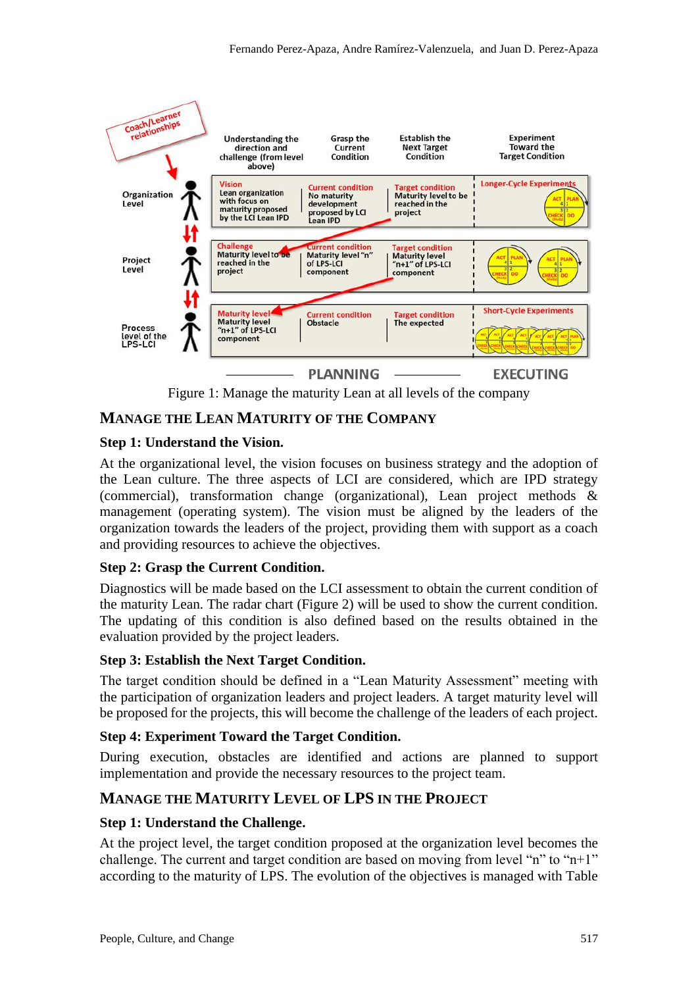

Figure 1: Manage the maturity Lean at all levels of the company

## **MANAGE THE LEAN MATURITY OF THE COMPANY**

### **Step 1: Understand the Vision.**

At the organizational level, the vision focuses on business strategy and the adoption of the Lean culture. The three aspects of LCI are considered, which are IPD strategy (commercial), transformation change (organizational), Lean project methods & management (operating system). The vision must be aligned by the leaders of the organization towards the leaders of the project, providing them with support as a coach and providing resources to achieve the objectives.

### **Step 2: Grasp the Current Condition.**

Diagnostics will be made based on the LCI assessment to obtain the current condition of the maturity Lean. The radar chart (Figure 2) will be used to show the current condition. The updating of this condition is also defined based on the results obtained in the evaluation provided by the project leaders.

### **Step 3: Establish the Next Target Condition.**

The target condition should be defined in a "Lean Maturity Assessment" meeting with the participation of organization leaders and project leaders. A target maturity level will be proposed for the projects, this will become the challenge of the leaders of each project.

## **Step 4: Experiment Toward the Target Condition.**

During execution, obstacles are identified and actions are planned to support implementation and provide the necessary resources to the project team.

## **MANAGE THE MATURITY LEVEL OF LPS IN THE PROJECT**

### **Step 1: Understand the Challenge.**

At the project level, the target condition proposed at the organization level becomes the challenge. The current and target condition are based on moving from level "n" to " $n+1$ " according to the maturity of LPS. The evolution of the objectives is managed with Table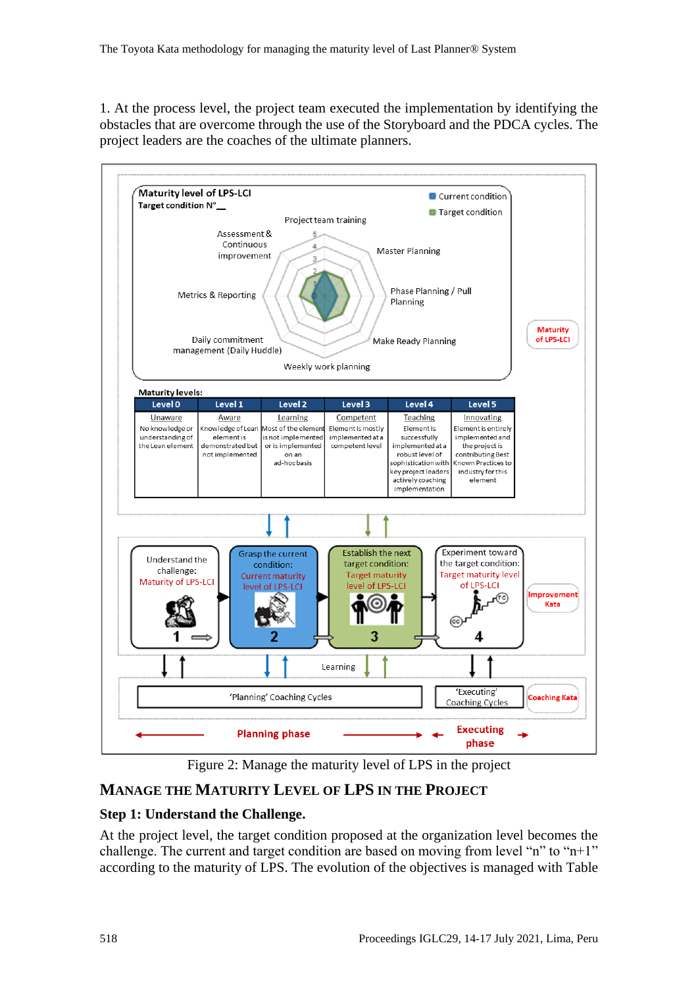1. At the process level, the project team executed the implementation by identifying the obstacles that are overcome through the use of the Storyboard and the PDCA cycles. The project leaders are the coaches of the ultimate planners.



Figure 2: Manage the maturity level of LPS in the project

## <span id="page-4-0"></span>**MANAGE THE MATURITY LEVEL OF LPS IN THE PROJECT**

### **Step 1: Understand the Challenge.**

At the project level, the target condition proposed at the organization level becomes the challenge. The current and target condition are based on moving from level "n" to "n+1" according to the maturity of LPS. The evolution of the objectives is managed with Table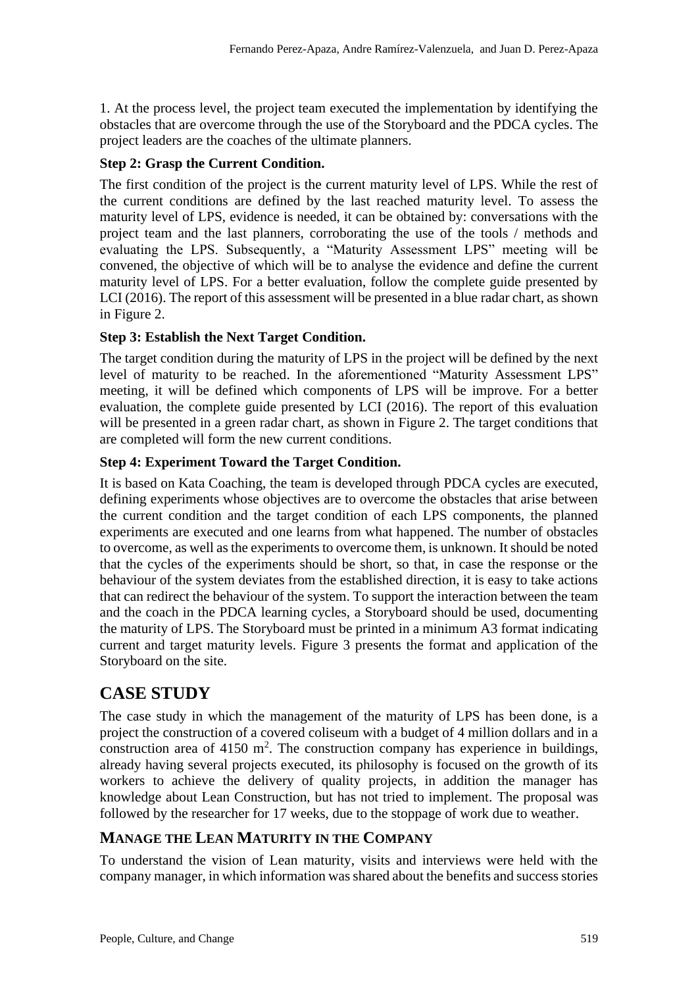1. At the process level, the project team executed the implementation by identifying the obstacles that are overcome through the use of the Storyboard and the PDCA cycles. The project leaders are the coaches of the ultimate planners.

### **Step 2: Grasp the Current Condition.**

The first condition of the project is the current maturity level of LPS. While the rest of the current conditions are defined by the last reached maturity level. To assess the maturity level of LPS, evidence is needed, it can be obtained by: conversations with the project team and the last planners, corroborating the use of the tools / methods and evaluating the LPS. Subsequently, a "Maturity Assessment LPS" meeting will be convened, the objective of which will be to analyse the evidence and define the current maturity level of LPS. For a better evaluation, follow the complete guide presented by LCI (2016). The report of this assessment will be presented in a blue radar chart, as shown in [Figure 2.](#page-4-0)

### **Step 3: Establish the Next Target Condition.**

The target condition during the maturity of LPS in the project will be defined by the next level of maturity to be reached. In the aforementioned "Maturity Assessment LPS" meeting, it will be defined which components of LPS will be improve. For a better evaluation, the complete guide presented by LCI (2016). The report of this evaluation will be presented in a green radar chart, as shown in [Figure 2.](#page-4-0) The target conditions that are completed will form the new current conditions.

### **Step 4: Experiment Toward the Target Condition.**

It is based on Kata Coaching, the team is developed through PDCA cycles are executed, defining experiments whose objectives are to overcome the obstacles that arise between the current condition and the target condition of each LPS components, the planned experiments are executed and one learns from what happened. The number of obstacles to overcome, as well as the experiments to overcome them, is unknown. It should be noted that the cycles of the experiments should be short, so that, in case the response or the behaviour of the system deviates from the established direction, it is easy to take actions that can redirect the behaviour of the system. To support the interaction between the team and the coach in the PDCA learning cycles, a Storyboard should be used, documenting the maturity of LPS. The Storyboard must be printed in a minimum A3 format indicating current and target maturity levels. [Figure 3](#page-7-0) presents the format and application of the Storyboard on the site.

## **CASE STUDY**

The case study in which the management of the maturity of LPS has been done, is a project the construction of a covered coliseum with a budget of 4 million dollars and in a construction area of  $4150 \text{ m}^2$ . The construction company has experience in buildings, already having several projects executed, its philosophy is focused on the growth of its workers to achieve the delivery of quality projects, in addition the manager has knowledge about Lean Construction, but has not tried to implement. The proposal was followed by the researcher for 17 weeks, due to the stoppage of work due to weather.

## **MANAGE THE LEAN MATURITY IN THE COMPANY**

To understand the vision of Lean maturity, visits and interviews were held with the company manager, in which information was shared about the benefits and success stories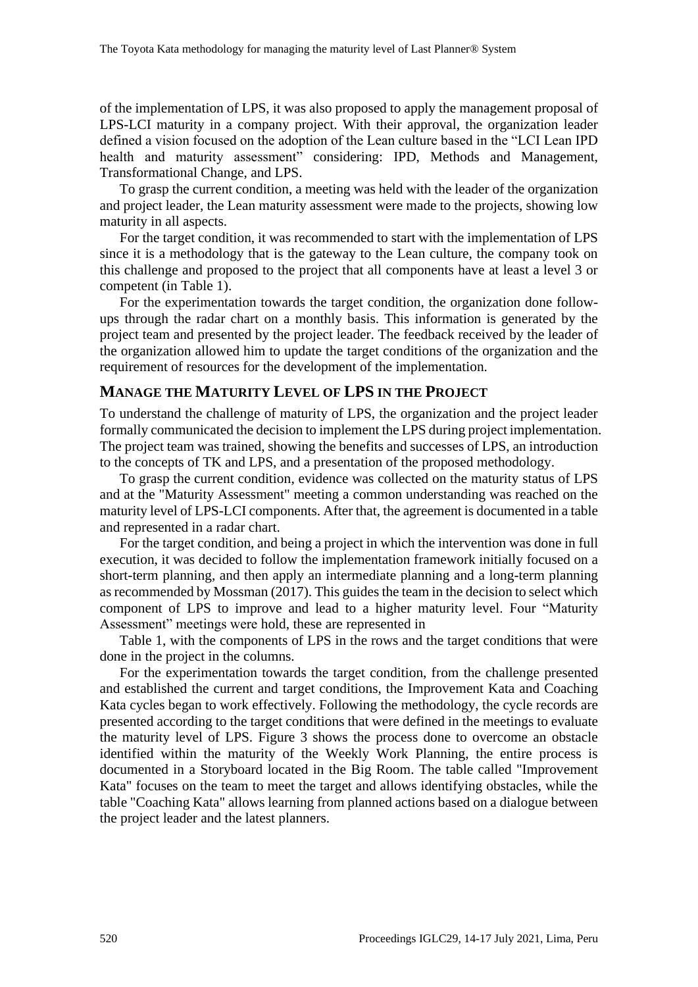of the implementation of LPS, it was also proposed to apply the management proposal of LPS-LCI maturity in a company project. With their approval, the organization leader defined a vision focused on the adoption of the Lean culture based in the "LCI Lean IPD health and maturity assessment" considering: IPD, Methods and Management, Transformational Change, and LPS.

To grasp the current condition, a meeting was held with the leader of the organization and project leader, the Lean maturity assessment were made to the projects, showing low maturity in all aspects.

For the target condition, it was recommended to start with the implementation of LPS since it is a methodology that is the gateway to the Lean culture, the company took on this challenge and proposed to the project that all components have at least a level 3 or competent (in Table 1).

For the experimentation towards the target condition, the organization done followups through the radar chart on a monthly basis. This information is generated by the project team and presented by the project leader. The feedback received by the leader of the organization allowed him to update the target conditions of the organization and the requirement of resources for the development of the implementation.

#### **MANAGE THE MATURITY LEVEL OF LPS IN THE PROJECT**

To understand the challenge of maturity of LPS, the organization and the project leader formally communicated the decision to implement the LPS during project implementation. The project team was trained, showing the benefits and successes of LPS, an introduction to the concepts of TK and LPS, and a presentation of the proposed methodology.

To grasp the current condition, evidence was collected on the maturity status of LPS and at the "Maturity Assessment" meeting a common understanding was reached on the maturity level of LPS-LCI components. After that, the agreement is documented in a table and represented in a radar chart.

For the target condition, and being a project in which the intervention was done in full execution, it was decided to follow the implementation framework initially focused on a short-term planning, and then apply an intermediate planning and a long-term planning as recommended by Mossman (2017). This guides the team in the decision to select which component of LPS to improve and lead to a higher maturity level. Four "Maturity Assessment" meetings were hold, these are represented in

[Table 1,](#page-8-0) with the components of LPS in the rows and the target conditions that were done in the project in the columns.

For the experimentation towards the target condition, from the challenge presented and established the current and target conditions, the Improvement Kata and Coaching Kata cycles began to work effectively. Following the methodology, the cycle records are presented according to the target conditions that were defined in the meetings to evaluate the maturity level of LPS. Figure 3 shows the process done to overcome an obstacle identified within the maturity of the Weekly Work Planning, the entire process is documented in a Storyboard located in the Big Room. The table called "Improvement Kata" focuses on the team to meet the target and allows identifying obstacles, while the table "Coaching Kata" allows learning from planned actions based on a dialogue between the project leader and the latest planners.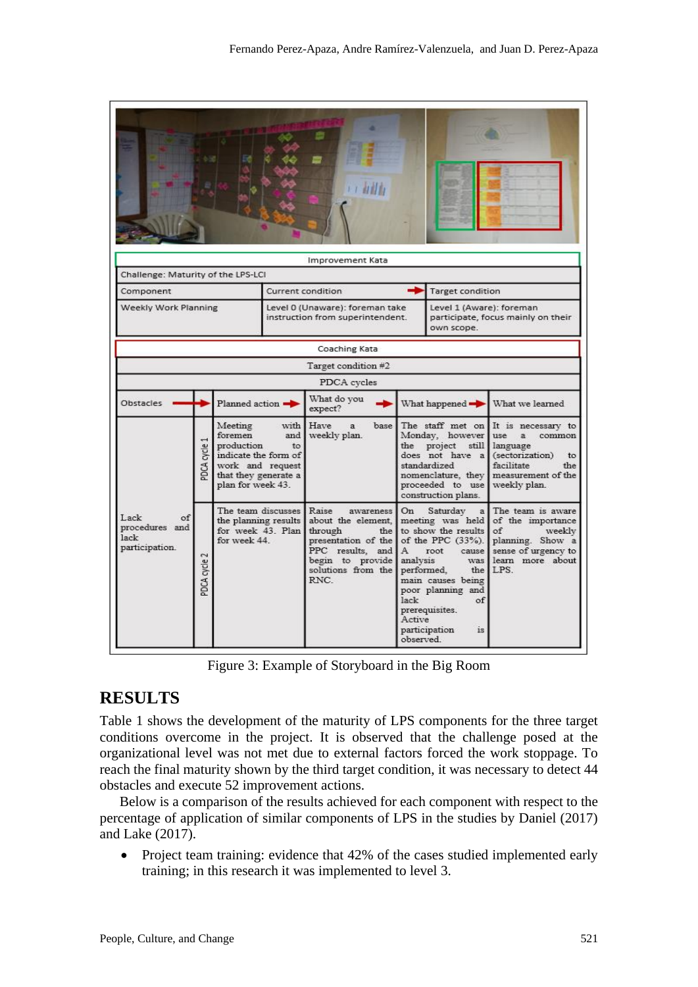| Challenge: Maturity of the LPS-LCI                     |                      |                                                                                                                                                |                                                                     | Improvement Kata                                                                                                                               |                                                                                                                                                                                                           |                                                                              |                                                                                                                                                                                |  |
|--------------------------------------------------------|----------------------|------------------------------------------------------------------------------------------------------------------------------------------------|---------------------------------------------------------------------|------------------------------------------------------------------------------------------------------------------------------------------------|-----------------------------------------------------------------------------------------------------------------------------------------------------------------------------------------------------------|------------------------------------------------------------------------------|--------------------------------------------------------------------------------------------------------------------------------------------------------------------------------|--|
| Component                                              |                      |                                                                                                                                                | Current condition                                                   |                                                                                                                                                |                                                                                                                                                                                                           | <b>Target condition</b>                                                      |                                                                                                                                                                                |  |
| Weekly Work Planning                                   |                      |                                                                                                                                                | Level 0 (Unaware): foreman take<br>instruction from superintendent. |                                                                                                                                                |                                                                                                                                                                                                           | Level 1 (Aware): foreman<br>participate, focus mainly on their<br>own scope. |                                                                                                                                                                                |  |
|                                                        |                      |                                                                                                                                                |                                                                     | Coaching Kata                                                                                                                                  |                                                                                                                                                                                                           |                                                                              |                                                                                                                                                                                |  |
|                                                        |                      |                                                                                                                                                |                                                                     | Target condition #2                                                                                                                            |                                                                                                                                                                                                           |                                                                              |                                                                                                                                                                                |  |
|                                                        |                      |                                                                                                                                                |                                                                     | PDCA cycles                                                                                                                                    |                                                                                                                                                                                                           |                                                                              |                                                                                                                                                                                |  |
| Obstacles                                              | Planned action       |                                                                                                                                                | What do you<br>expect?                                              |                                                                                                                                                |                                                                                                                                                                                                           | What we learned<br>What happened $\rightarrow$                               |                                                                                                                                                                                |  |
|                                                        | cycle<br>PDCA        | Meeting<br>with<br>foremen<br>and<br>production<br>to<br>indicate the form of<br>work and request<br>that they generate a<br>plan for week 43. |                                                                     | Have<br>base<br>$\mathbf{a}$<br>weekly plan.                                                                                                   | Monday, however<br>project<br>the<br>still<br>does not have a<br>standardized<br>proceeded to use weekly plan.<br>construction plans.                                                                     |                                                                              | The staff met on It is necessary to<br>use<br>a<br>common<br>language<br>(sectorization)<br>to<br>facilitate<br>the<br>nomenclature, they measurement of the                   |  |
| Lack<br>of<br>procedures and<br>lack<br>participation. | $\sim$<br>PDCA cycle | The team discusses Raise<br>the planning results<br>for week 43. Plan<br>for week 44.                                                          |                                                                     | awareness<br>about the element.<br>through<br>the<br>presentation of the<br>PPC results, and<br>begin to provide<br>solutions from the<br>RNC. | On<br>Saturday<br>a<br>to show the results<br>А<br>root<br>analysis<br>performed.<br>main causes being<br>poor planning and<br>lack<br>of<br>prerequisites.<br>Active<br>participation<br>is.<br>observed |                                                                              | The team is aware<br>meeting was held of the importance<br>of<br>weekly<br>of the PPC (33%). planning. Show a<br>cause sense of urgency to<br>was learn more about<br>the LPS. |  |

Figure 3: Example of Storyboard in the Big Room

## <span id="page-7-0"></span>**RESULTS**

Table 1 shows the development of the maturity of LPS components for the three target conditions overcome in the project. It is observed that the challenge posed at the organizational level was not met due to external factors forced the work stoppage. To reach the final maturity shown by the third target condition, it was necessary to detect 44 obstacles and execute 52 improvement actions.

Below is a comparison of the results achieved for each component with respect to the percentage of application of similar components of LPS in the studies by Daniel (2017) and Lake (2017).

• Project team training: evidence that 42% of the cases studied implemented early training; in this research it was implemented to level 3.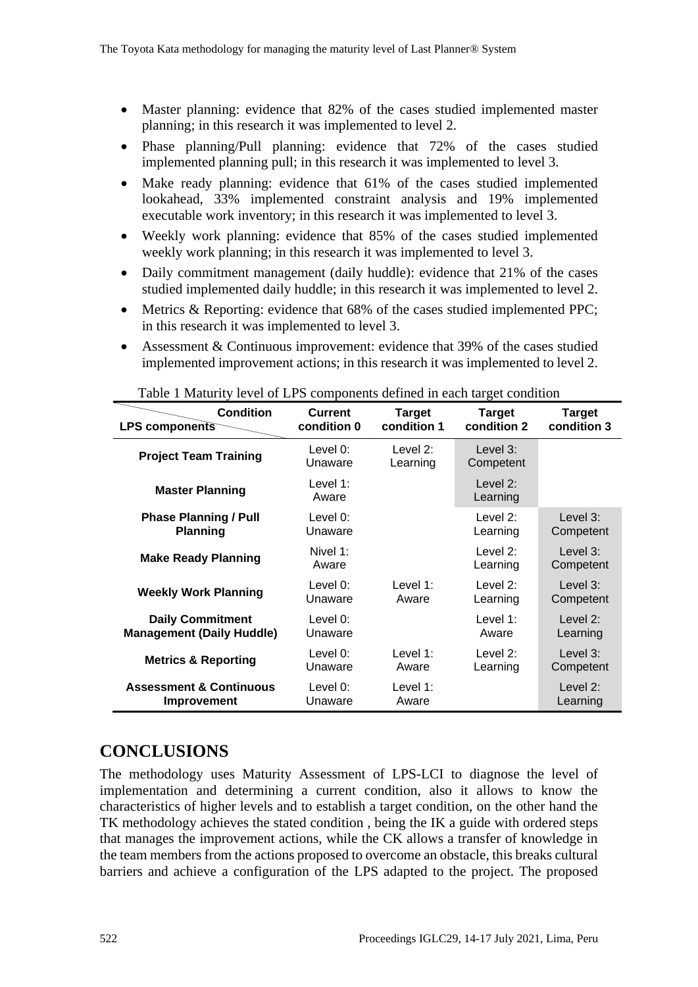- Master planning: evidence that 82% of the cases studied implemented master planning; in this research it was implemented to level 2.
- Phase planning/Pull planning: evidence that 72% of the cases studied implemented planning pull; in this research it was implemented to level 3.
- Make ready planning: evidence that 61% of the cases studied implemented lookahead, 33% implemented constraint analysis and 19% implemented executable work inventory; in this research it was implemented to level 3.
- Weekly work planning: evidence that 85% of the cases studied implemented weekly work planning; in this research it was implemented to level 3.
- Daily commitment management (daily huddle): evidence that 21% of the cases studied implemented daily huddle; in this research it was implemented to level 2.
- Metrics & Reporting: evidence that 68% of the cases studied implemented PPC; in this research it was implemented to level 3.
- Assessment & Continuous improvement: evidence that 39% of the cases studied implemented improvement actions; in this research it was implemented to level 2.

| <b>Condition</b>                   | <b>Current</b>      | <b>Target</b>           | <b>Target</b>            | <b>Target</b>           |
|------------------------------------|---------------------|-------------------------|--------------------------|-------------------------|
| <b>LPS components</b>              | condition 0         | condition 1             | condition 2              | condition 3             |
| <b>Project Team Training</b>       | Level 0:<br>Unaware | Level $2$ :<br>Learning | Level $3$ :<br>Competent |                         |
| <b>Master Planning</b>             | Level 1:<br>Aware   |                         | Level 2:<br>Learning     |                         |
| <b>Phase Planning / Pull</b>       | Level $0$ :         |                         | Level 2:                 | Level $3:$              |
| <b>Planning</b>                    | Unaware             |                         | Learning                 | Competent               |
| <b>Make Ready Planning</b>         | Nivel 1:<br>Aware   |                         | Level 2:<br>Learning     | Level $3:$<br>Competent |
| <b>Weekly Work Planning</b>        | Level $0$ :         | Level 1:                | Level $2$ :              | Level $3$ :             |
|                                    | Unaware             | Aware                   | Learning                 | Competent               |
| <b>Daily Commitment</b>            | Level 0:            |                         | Level $1$ :              | Level $2$ :             |
| <b>Management (Daily Huddle)</b>   | Unaware             |                         | Aware                    | Learning                |
| <b>Metrics &amp; Reporting</b>     | Level 0:            | Level $1$ :             | Level $2$ :              | Level 3:                |
|                                    | Unaware             | Aware                   | Learning                 | Competent               |
| <b>Assessment &amp; Continuous</b> | Level $0$ :         | Level 1:                |                          | Level 2:                |
| Improvement                        | Unaware             | Aware                   |                          | Learning                |

<span id="page-8-0"></span>Table 1 Maturity level of LPS components defined in each target condition

## **CONCLUSIONS**

The methodology uses Maturity Assessment of LPS-LCI to diagnose the level of implementation and determining a current condition, also it allows to know the characteristics of higher levels and to establish a target condition, on the other hand the TK methodology achieves the stated condition , being the IK a guide with ordered steps that manages the improvement actions, while the CK allows a transfer of knowledge in the team members from the actions proposed to overcome an obstacle, this breaks cultural barriers and achieve a configuration of the LPS adapted to the project. The proposed